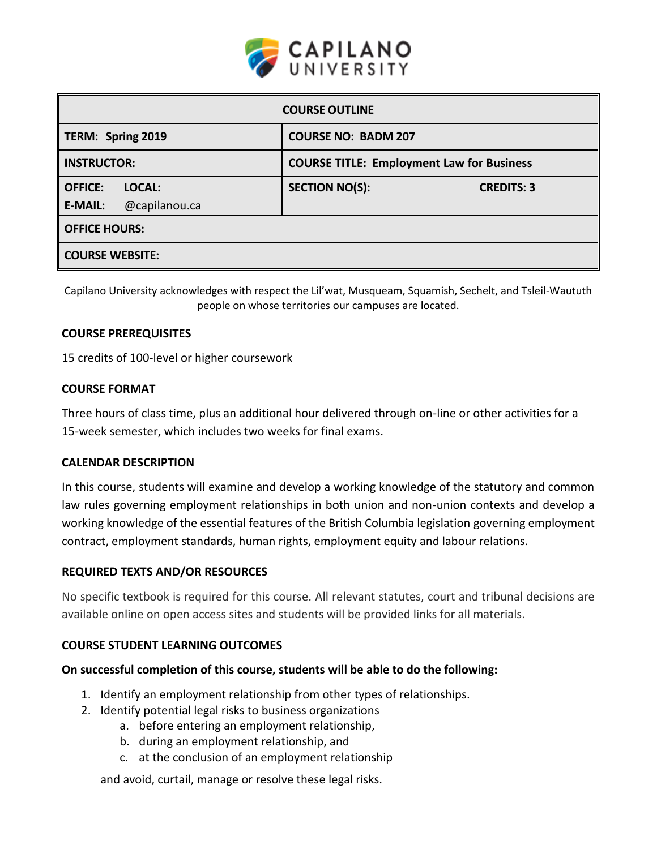

| <b>COURSE OUTLINE</b>           |                                                  |                   |  |  |  |
|---------------------------------|--------------------------------------------------|-------------------|--|--|--|
| TERM: Spring 2019               | <b>COURSE NO: BADM 207</b>                       |                   |  |  |  |
| <b>INSTRUCTOR:</b>              | <b>COURSE TITLE: Employment Law for Business</b> |                   |  |  |  |
| LOCAL:<br><b>OFFICE:</b>        | <b>SECTION NO(S):</b>                            | <b>CREDITS: 3</b> |  |  |  |
| @capilanou.ca<br><b>E-MAIL:</b> |                                                  |                   |  |  |  |
| <b>OFFICE HOURS:</b>            |                                                  |                   |  |  |  |
| <b>COURSE WEBSITE:</b>          |                                                  |                   |  |  |  |

Capilano University acknowledges with respect the Lil'wat, Musqueam, Squamish, Sechelt, and Tsleil-Waututh people on whose territories our campuses are located.

## **COURSE PREREQUISITES**

15 credits of 100-level or higher coursework

## **COURSE FORMAT**

Three hours of class time, plus an additional hour delivered through on-line or other activities for a 15-week semester, which includes two weeks for final exams.

### **CALENDAR DESCRIPTION**

In this course, students will examine and develop a working knowledge of the statutory and common law rules governing employment relationships in both union and non-union contexts and develop a working knowledge of the essential features of the British Columbia legislation governing employment contract, employment standards, human rights, employment equity and labour relations.

## **REQUIRED TEXTS AND/OR RESOURCES**

No specific textbook is required for this course. All relevant statutes, court and tribunal decisions are available online on open access sites and students will be provided links for all materials.

## **COURSE STUDENT LEARNING OUTCOMES**

### **On successful completion of this course, students will be able to do the following:**

- 1. Identify an employment relationship from other types of relationships.
- 2. Identify potential legal risks to business organizations
	- a. before entering an employment relationship,
	- b. during an employment relationship, and
	- c. at the conclusion of an employment relationship

and avoid, curtail, manage or resolve these legal risks.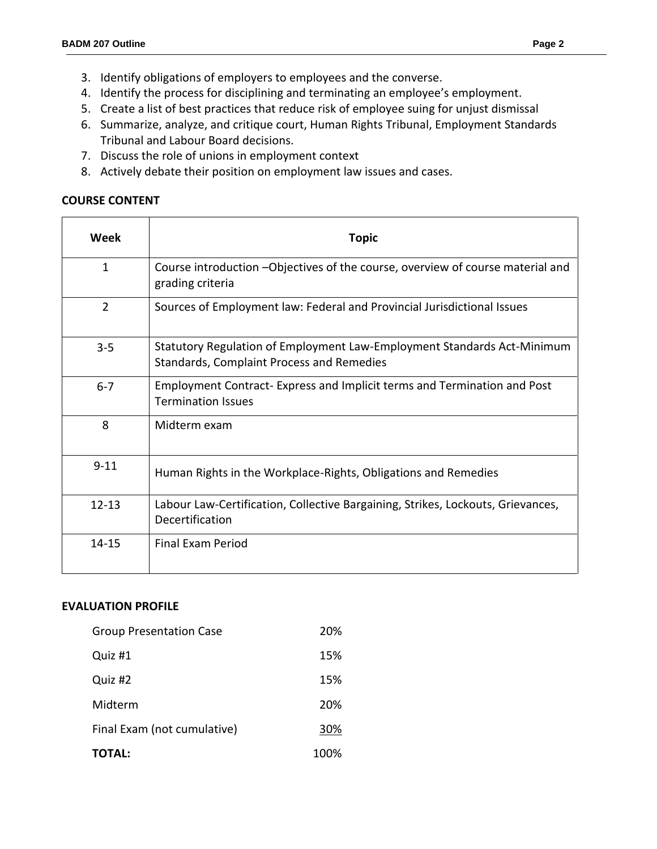- 3. Identify obligations of employers to employees and the converse.
- 4. Identify the process for disciplining and terminating an employee's employment.
- 5. Create a list of best practices that reduce risk of employee suing for unjust dismissal
- 6. Summarize, analyze, and critique court, Human Rights Tribunal, Employment Standards Tribunal and Labour Board decisions.
- 7. Discuss the role of unions in employment context
- 8. Actively debate their position on employment law issues and cases.

## **COURSE CONTENT**

| Week           | <b>Topic</b>                                                                                                         |  |  |
|----------------|----------------------------------------------------------------------------------------------------------------------|--|--|
| $\mathbf{1}$   | Course introduction - Objectives of the course, overview of course material and<br>grading criteria                  |  |  |
| $\overline{2}$ | Sources of Employment law: Federal and Provincial Jurisdictional Issues                                              |  |  |
| $3 - 5$        | Statutory Regulation of Employment Law-Employment Standards Act-Minimum<br>Standards, Complaint Process and Remedies |  |  |
| $6 - 7$        | Employment Contract-Express and Implicit terms and Termination and Post<br><b>Termination Issues</b>                 |  |  |
| 8              | Midterm exam                                                                                                         |  |  |
| $9 - 11$       | Human Rights in the Workplace-Rights, Obligations and Remedies                                                       |  |  |
| $12 - 13$      | Labour Law-Certification, Collective Bargaining, Strikes, Lockouts, Grievances,<br>Decertification                   |  |  |
| 14-15          | Final Fxam Period                                                                                                    |  |  |

## **EVALUATION PROFILE**

| <b>Group Presentation Case</b> | 20%  |
|--------------------------------|------|
| Quiz #1                        | 15%  |
| Quiz #2                        | 15%  |
| Midterm                        | 20%  |
| Final Exam (not cumulative)    | 30%  |
| <b>TOTAL:</b>                  | 100% |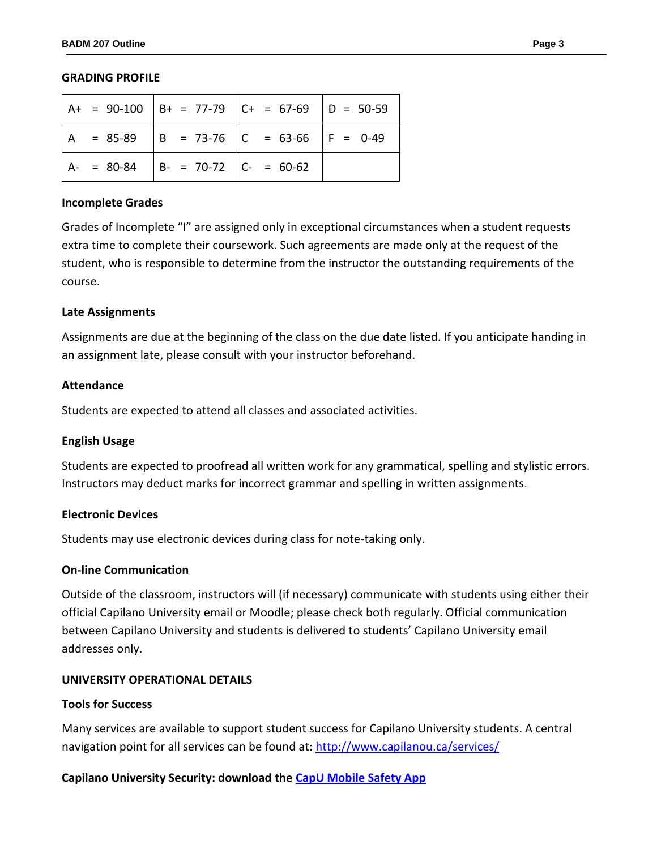#### **GRADING PROFILE**

|  |                                           | $A+ = 90-100$ $B+ = 77-79$ $C+ = 67-69$ $D = 50-59$ |  |
|--|-------------------------------------------|-----------------------------------------------------|--|
|  |                                           | $A = 85-89$ $B = 73-76$ $C = 63-66$ $F = 0-49$      |  |
|  | $ A- = 80-84$ $ B- = 70-72$ $ C- = 60-62$ |                                                     |  |

#### **Incomplete Grades**

Grades of Incomplete "I" are assigned only in exceptional circumstances when a student requests extra time to complete their coursework. Such agreements are made only at the request of the student, who is responsible to determine from the instructor the outstanding requirements of the course.

### **Late Assignments**

Assignments are due at the beginning of the class on the due date listed. If you anticipate handing in an assignment late, please consult with your instructor beforehand.

### **Attendance**

Students are expected to attend all classes and associated activities.

### **English Usage**

Students are expected to proofread all written work for any grammatical, spelling and stylistic errors. Instructors may deduct marks for incorrect grammar and spelling in written assignments.

### **Electronic Devices**

Students may use electronic devices during class for note-taking only.

## **On-line Communication**

Outside of the classroom, instructors will (if necessary) communicate with students using either their official Capilano University email or Moodle; please check both regularly. Official communication between Capilano University and students is delivered to students' Capilano University email addresses only.

## **UNIVERSITY OPERATIONAL DETAILS**

### **Tools for Success**

Many services are available to support student success for Capilano University students. A central navigation point for all services can be found at:<http://www.capilanou.ca/services/>

## **Capilano University Security: download the [CapU Mobile Safety App](https://www.capilanou.ca/services/safety-security/CapU-Mobile-Safety-App/)**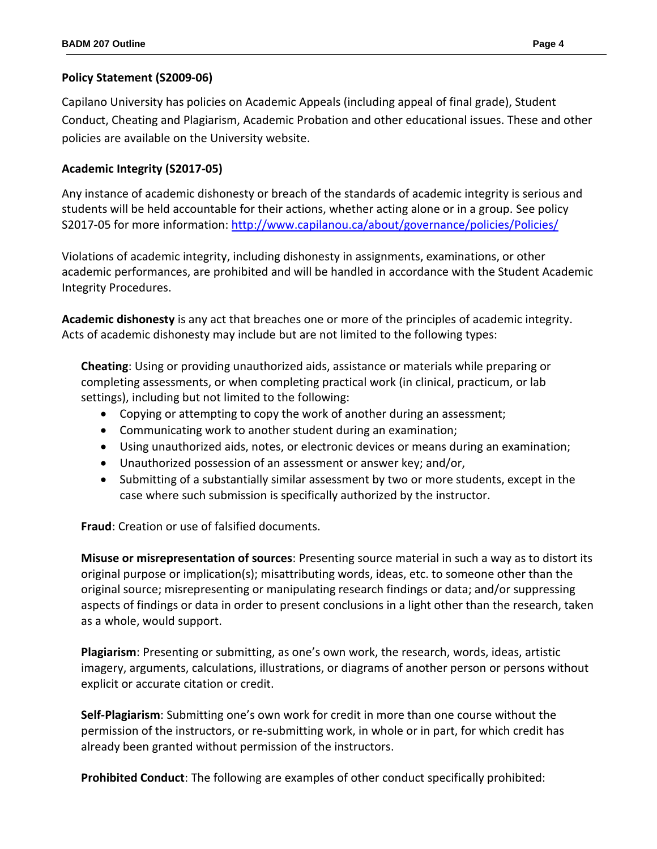# **Policy Statement (S2009-06)**

Capilano University has policies on Academic Appeals (including appeal of final grade), Student Conduct, Cheating and Plagiarism, Academic Probation and other educational issues. These and other policies are available on the University website.

# **Academic Integrity (S2017-05)**

Any instance of academic dishonesty or breach of the standards of academic integrity is serious and students will be held accountable for their actions, whether acting alone or in a group. See policy S2017-05 for more information[: http://www.capilanou.ca/about/governance/policies/Policies/](http://www.capilanou.ca/about/governance/policies/Policies/)

Violations of academic integrity, including dishonesty in assignments, examinations, or other academic performances, are prohibited and will be handled in accordance with the Student Academic Integrity Procedures.

**Academic dishonesty** is any act that breaches one or more of the principles of academic integrity. Acts of academic dishonesty may include but are not limited to the following types:

**Cheating**: Using or providing unauthorized aids, assistance or materials while preparing or completing assessments, or when completing practical work (in clinical, practicum, or lab settings), including but not limited to the following:

- Copying or attempting to copy the work of another during an assessment;
- Communicating work to another student during an examination;
- Using unauthorized aids, notes, or electronic devices or means during an examination;
- Unauthorized possession of an assessment or answer key; and/or,
- Submitting of a substantially similar assessment by two or more students, except in the case where such submission is specifically authorized by the instructor.

**Fraud**: Creation or use of falsified documents.

**Misuse or misrepresentation of sources**: Presenting source material in such a way as to distort its original purpose or implication(s); misattributing words, ideas, etc. to someone other than the original source; misrepresenting or manipulating research findings or data; and/or suppressing aspects of findings or data in order to present conclusions in a light other than the research, taken as a whole, would support.

**Plagiarism**: Presenting or submitting, as one's own work, the research, words, ideas, artistic imagery, arguments, calculations, illustrations, or diagrams of another person or persons without explicit or accurate citation or credit.

**Self-Plagiarism**: Submitting one's own work for credit in more than one course without the permission of the instructors, or re-submitting work, in whole or in part, for which credit has already been granted without permission of the instructors.

**Prohibited Conduct**: The following are examples of other conduct specifically prohibited: